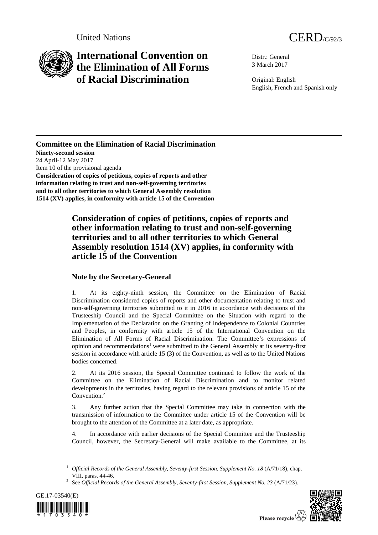

## **International Convention on the Elimination of All Forms of Racial Discrimination**

Distr.: General 3 March 2017

Original: English English, French and Spanish only

## **Committee on the Elimination of Racial Discrimination**

**Ninety-second session** 24 April-12 May 2017 Item 10 of the provisional agenda **Consideration of copies of petitions, copies of reports and other information relating to trust and non-self-governing territories and to all other territories to which General Assembly resolution 1514 (XV) applies, in conformity with article 15 of the Convention**

## **Consideration of copies of petitions, copies of reports and other information relating to trust and non-self-governing territories and to all other territories to which General Assembly resolution 1514 (XV) applies, in conformity with article 15 of the Convention**

## **Note by the Secretary-General**

1. At its eighty-ninth session, the Committee on the Elimination of Racial Discrimination considered copies of reports and other documentation relating to trust and non-self-governing territories submitted to it in 2016 in accordance with decisions of the Trusteeship Council and the Special Committee on the Situation with regard to the Implementation of the Declaration on the Granting of Independence to Colonial Countries and Peoples, in conformity with article 15 of the International Convention on the Elimination of All Forms of Racial Discrimination. The Committee's expressions of opinion and recommendations<sup>1</sup> were submitted to the General Assembly at its seventy-first session in accordance with article 15 (3) of the Convention, as well as to the United Nations bodies concerned.

2. At its 2016 session, the Special Committee continued to follow the work of the Committee on the Elimination of Racial Discrimination and to monitor related developments in the territories, having regard to the relevant provisions of article 15 of the Convention.<sup>2</sup>

3. Any further action that the Special Committee may take in connection with the transmission of information to the Committee under article 15 of the Convention will be brought to the attention of the Committee at a later date, as appropriate.

4. In accordance with earlier decisions of the Special Committee and the Trusteeship Council, however, the Secretary-General will make available to the Committee, at its

<sup>2</sup> See *Official Records of the General Assembly, Seventy-first Session, Supplement No. 23* (A/71/23).





Please recycle  $\overleftrightarrow{C}$ 

<sup>&</sup>lt;sup>1</sup> *Official Records of the General Assembly, Seventy-first Session, Supplement No. 18 (A/71/18), chap.* VIII, paras. 44-46.